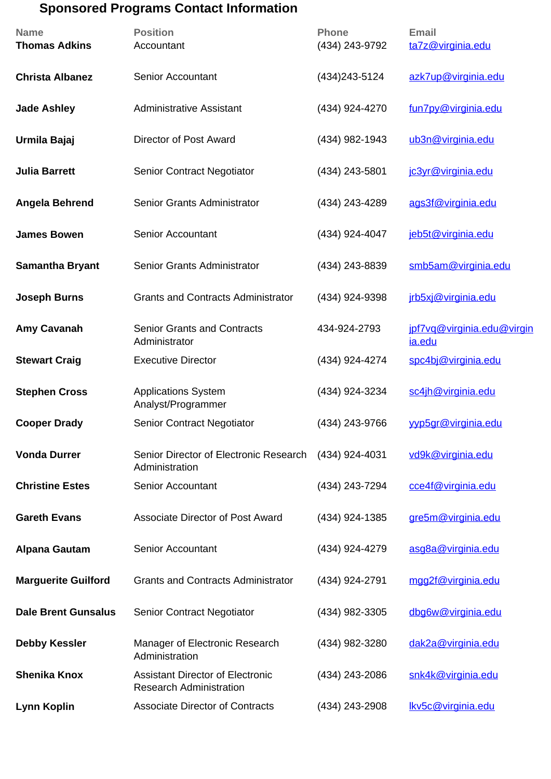## **Sponsored Programs Contact Information**

| <b>Name</b><br><b>Thomas Adkins</b> | <b>Position</b><br>Accountant                                             | <b>Phone</b><br>(434) 243-9792 | <b>Email</b><br>ta7z@virginia.edu    |
|-------------------------------------|---------------------------------------------------------------------------|--------------------------------|--------------------------------------|
| <b>Christa Albanez</b>              | <b>Senior Accountant</b>                                                  | (434) 243-5124                 | azk7up@virginia.edu                  |
| <b>Jade Ashley</b>                  | <b>Administrative Assistant</b>                                           | (434) 924-4270                 | fun7py@virginia.edu                  |
| Urmila Bajaj                        | <b>Director of Post Award</b>                                             | (434) 982-1943                 | ub3n@virginia.edu                    |
| <b>Julia Barrett</b>                | <b>Senior Contract Negotiator</b>                                         | (434) 243-5801                 | jc3yr@virginia.edu                   |
| <b>Angela Behrend</b>               | Senior Grants Administrator                                               | (434) 243-4289                 | ags3f@virginia.edu                   |
| <b>James Bowen</b>                  | <b>Senior Accountant</b>                                                  | (434) 924-4047                 | jeb5t@virginia.edu                   |
| <b>Samantha Bryant</b>              | Senior Grants Administrator                                               | (434) 243-8839                 | smb5am@virginia.edu                  |
| <b>Joseph Burns</b>                 | <b>Grants and Contracts Administrator</b>                                 | (434) 924-9398                 | jrb5xj@virginia.edu                  |
| Amy Cavanah                         | <b>Senior Grants and Contracts</b><br>Administrator                       | 434-924-2793                   | jpf7vq@virginia.edu@virgin<br>ia.edu |
| <b>Stewart Craig</b>                | <b>Executive Director</b>                                                 | (434) 924-4274                 | spc4bj@virginia.edu                  |
| <b>Stephen Cross</b>                | <b>Applications System</b><br>Analyst/Programmer                          | (434) 924-3234                 | sc4jh@virginia.edu                   |
| <b>Cooper Drady</b>                 | <b>Senior Contract Negotiator</b>                                         | (434) 243-9766                 | vyp5qr@virginia.edu                  |
| <b>Vonda Durrer</b>                 | Senior Director of Electronic Research<br>Administration                  | (434) 924-4031                 | vd9k@virginia.edu                    |
| <b>Christine Estes</b>              | <b>Senior Accountant</b>                                                  | (434) 243-7294                 | cce4f@virginia.edu                   |
| <b>Gareth Evans</b>                 | Associate Director of Post Award                                          | (434) 924-1385                 | gre5m@virginia.edu                   |
| <b>Alpana Gautam</b>                | <b>Senior Accountant</b>                                                  | (434) 924-4279                 | asg8a@virginia.edu                   |
| <b>Marguerite Guilford</b>          | <b>Grants and Contracts Administrator</b>                                 | (434) 924-2791                 | mgg2f@virginia.edu                   |
| <b>Dale Brent Gunsalus</b>          | <b>Senior Contract Negotiator</b>                                         | (434) 982-3305                 | dbg6w@virginia.edu                   |
| <b>Debby Kessler</b>                | Manager of Electronic Research<br>Administration                          | (434) 982-3280                 | dak2a@virginia.edu                   |
| <b>Shenika Knox</b>                 | <b>Assistant Director of Electronic</b><br><b>Research Administration</b> | (434) 243-2086                 | snk4k@virginia.edu                   |
| <b>Lynn Koplin</b>                  | <b>Associate Director of Contracts</b>                                    | (434) 243-2908                 | Ikv5c@virginia.edu                   |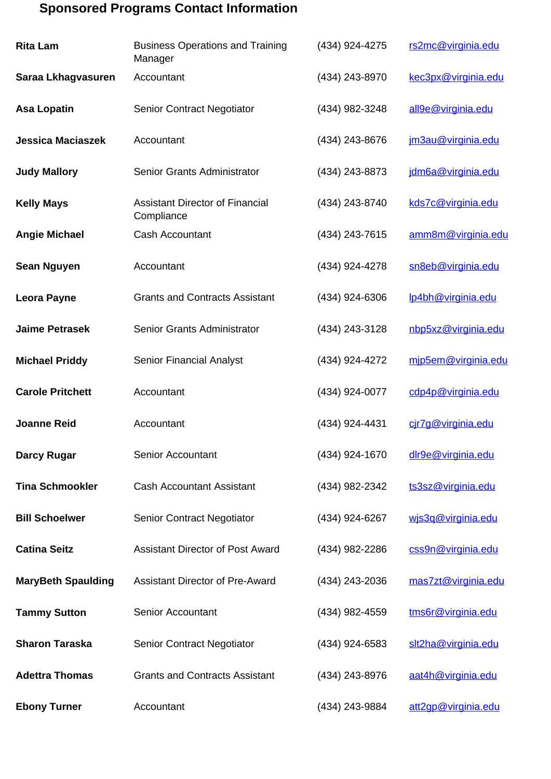## **Sponsored Programs Contact Information**

| <b>Rita Lam</b>           | <b>Business Operations and Training</b><br>Manager   | (434) 924-4275 | rs2mc@virginia.edu  |
|---------------------------|------------------------------------------------------|----------------|---------------------|
| Saraa Lkhagvasuren        | Accountant                                           | (434) 243-8970 | kec3px@virginia.edu |
| <b>Asa Lopatin</b>        | <b>Senior Contract Negotiator</b>                    | (434) 982-3248 | all9e@virginia.edu  |
| <b>Jessica Maciaszek</b>  | Accountant                                           | (434) 243-8676 | jm3au@virginia.edu  |
| <b>Judy Mallory</b>       | Senior Grants Administrator                          | (434) 243-8873 | jdm6a@virginia.edu  |
| <b>Kelly Mays</b>         | <b>Assistant Director of Financial</b><br>Compliance | (434) 243-8740 | kds7c@virginia.edu  |
| <b>Angie Michael</b>      | Cash Accountant                                      | (434) 243-7615 | amm8m@virginia.edu  |
| <b>Sean Nguyen</b>        | Accountant                                           | (434) 924-4278 | sn8eb@virginia.edu  |
| <b>Leora Payne</b>        | <b>Grants and Contracts Assistant</b>                | (434) 924-6306 | lp4bh@virginia.edu  |
| <b>Jaime Petrasek</b>     | Senior Grants Administrator                          | (434) 243-3128 | nbp5xz@virginia.edu |
| <b>Michael Priddy</b>     | <b>Senior Financial Analyst</b>                      | (434) 924-4272 | mip5em@virginia.edu |
| <b>Carole Pritchett</b>   | Accountant                                           | (434) 924-0077 | cdp4p@virginia.edu  |
| <b>Joanne Reid</b>        | Accountant                                           | (434) 924-4431 | cir7g@virginia.edu  |
| Darcy Rugar               | Senior Accountant                                    | (434) 924-1670 | dlr9e@virginia.edu  |
| <b>Tina Schmookler</b>    | <b>Cash Accountant Assistant</b>                     | (434) 982-2342 | ts3sz@virginia.edu  |
| <b>Bill Schoelwer</b>     | <b>Senior Contract Negotiator</b>                    | (434) 924-6267 | wis3q@virginia.edu  |
| <b>Catina Seitz</b>       | <b>Assistant Director of Post Award</b>              | (434) 982-2286 | css9n@virginia.edu  |
| <b>MaryBeth Spaulding</b> | <b>Assistant Director of Pre-Award</b>               | (434) 243-2036 | mas7zt@virginia.edu |
| <b>Tammy Sutton</b>       | <b>Senior Accountant</b>                             | (434) 982-4559 | tms6r@virginia.edu  |
| <b>Sharon Taraska</b>     | <b>Senior Contract Negotiator</b>                    | (434) 924-6583 | slt2ha@virginia.edu |
| <b>Adettra Thomas</b>     | <b>Grants and Contracts Assistant</b>                | (434) 243-8976 | aat4h@virginia.edu  |
| <b>Ebony Turner</b>       | Accountant                                           | (434) 243-9884 | att2qp@virginia.edu |